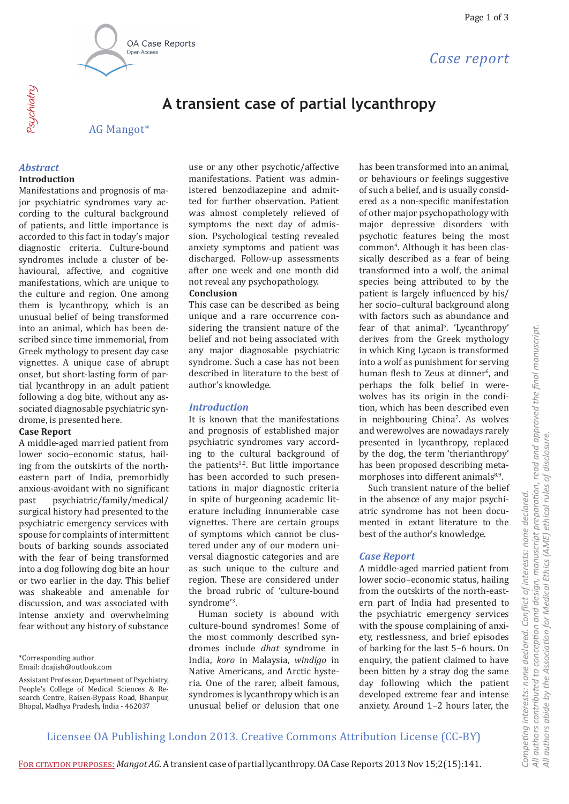

*Case report*

# **A transient case of partial lycanthropy**

AG Mangot\*

#### *Abstract*

Psychiatry

#### **Introduction**

Manifestations and prognosis of major psychiatric syndromes vary according to the cultural background of patients, and little importance is accorded to this fact in today's major diagnostic criteria. Culture-bound syndromes include a cluster of behavioural, affective, and cognitive manifestations, which are unique to the culture and region. One among them is lycanthropy, which is an unusual belief of being transformed into an animal, which has been described since time immemorial, from Greek mythology to present day case vignettes. A unique case of abrupt onset, but short-lasting form of partial lycanthropy in an adult patient following a dog bite, without any associated diagnosable psychiatric syndrome, is presented here.

#### **Case Report**

A middle-aged married patient from lower socio–economic status, hailing from the outskirts of the northeastern part of India, premorbidly anxious-avoidant with no significant<br>past psychiatric/family/medical/ past psychiatric/family/medical/ surgical history had presented to the psychiatric emergency services with spouse for complaints of intermittent bouts of barking sounds associated with the fear of being transformed into a dog following dog bite an hour or two earlier in the day. This belief was shakeable and amenable for discussion, and was associated with intense anxiety and overwhelming fear without any history of substance

\*Corresponding author Email: dr.ajish@outlook.com use or any other psychotic/affective manifestations. Patient was administered benzodiazepine and admitted for further observation. Patient was almost completely relieved of symptoms the next day of admission. Psychological testing revealed anxiety symptoms and patient was discharged. Follow-up assessments after one week and one month did not reveal any psychopathology. **Conclusion** 

This case can be described as being unique and a rare occurrence considering the transient nature of the belief and not being associated with any major diagnosable psychiatric syndrome. Such a case has not been described in literature to the best of author's knowledge.

# *Introduction*

It is known that the manifestations and prognosis of established major psychiatric syndromes vary according to the cultural background of the patients $1,2$ . But little importance has been accorded to such presentations in major diagnostic criteria in spite of burgeoning academic literature including innumerable case vignettes. There are certain groups of symptoms which cannot be clustered under any of our modern universal diagnostic categories and are as such unique to the culture and region. These are considered under the broad rubric of 'culture-bound syndrome'3 .

Human society is abound with culture-bound syndromes! Some of the most commonly described syndromes include *dhat* syndrome in India, *koro* in Malaysia, *windigo* in Native Americans, and Arctic hysteria. One of the rarer, albeit famous, syndromes is lycanthropy which is an unusual belief or delusion that one has been transformed into an animal, or behaviours or feelings suggestive of such a belief, and is usually considered as a non-specific manifestation of other major psychopathology with major depressive disorders with psychotic features being the most common4 . Although it has been classically described as a fear of being transformed into a wolf, the animal species being attributed to by the patient is largely influenced by his/ her socio–cultural background along with factors such as abundance and fear of that animal<sup>5</sup>. 'Lycanthropy' derives from the Greek mythology in which King Lycaon is transformed into a wolf as punishment for serving human flesh to Zeus at dinner<sup>6</sup>, and perhaps the folk belief in werewolves has its origin in the condition, which has been described even in neighbouring China<sup>7</sup>. As wolves and werewolves are nowadays rarely presented in lycanthropy, replaced by the dog, the term 'therianthropy' has been proposed describing metamorphoses into different animals $8,9$ .

Such transient nature of the belief in the absence of any major psychiatric syndrome has not been documented in extant literature to the best of the author's knowledge.

#### *Case Report*

A middle-aged married patient from lower socio–economic status, hailing from the outskirts of the north-eastern part of India had presented to the psychiatric emergency services with the spouse complaining of anxiety, restlessness, and brief episodes of barking for the last 5–6 hours. On enquiry, the patient claimed to have been bitten by a stray dog the same day following which the patient developed extreme fear and intense anxiety. Around 1–2 hours later, the

# Licensee OA Publishing London 2013. Creative Commons Attribution License (CC-BY)

Assistant Professor, Department of Psychiatry, People's College of Medical Sciences & Research Centre, Raisen-Bypass Road, Bhanpur, Bhopal, Madhya Pradesh, India - 462037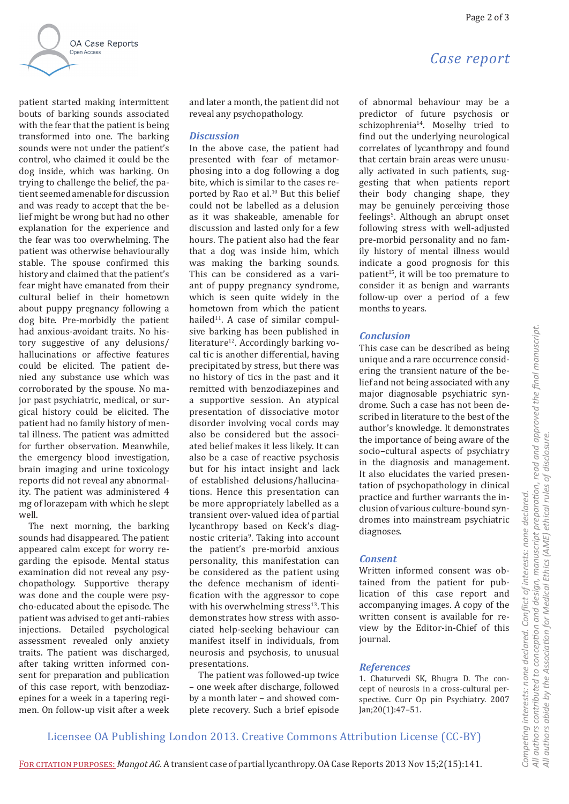*Case report*



patient started making intermittent bouts of barking sounds associated with the fear that the patient is being transformed into one. The barking sounds were not under the patient's control, who claimed it could be the dog inside, which was barking. On trying to challenge the belief, the patient seemed amenable for discussion and was ready to accept that the belief might be wrong but had no other explanation for the experience and the fear was too overwhelming. The patient was otherwise behaviourally stable. The spouse confirmed this history and claimed that the patient's fear might have emanated from their cultural belief in their hometown about puppy pregnancy following a dog bite. Pre-morbidly the patient had anxious-avoidant traits. No history suggestive of any delusions/ hallucinations or affective features could be elicited. The patient denied any substance use which was corroborated by the spouse. No major past psychiatric, medical, or surgical history could be elicited. The patient had no family history of mental illness. The patient was admitted for further observation. Meanwhile, the emergency blood investigation, brain imaging and urine toxicology reports did not reveal any abnormality. The patient was administered 4 mg of lorazepam with which he slept well.

The next morning, the barking sounds had disappeared. The patient appeared calm except for worry regarding the episode. Mental status examination did not reveal any psychopathology. Supportive therapy was done and the couple were psycho-educated about the episode. The patient was advised to get anti-rabies injections. Detailed psychological assessment revealed only anxiety traits. The patient was discharged, after taking written informed consent for preparation and publication of this case report, with benzodiazepines for a week in a tapering regimen. On follow-up visit after a week

and later a month, the patient did not reveal any psychopathology.

### *Discussion*

In the above case, the patient had presented with fear of metamorphosing into a dog following a dog bite, which is similar to the cases reported by Rao et al.<sup>10</sup> But this belief could not be labelled as a delusion as it was shakeable, amenable for discussion and lasted only for a few hours. The patient also had the fear that a dog was inside him, which was making the barking sounds. This can be considered as a variant of puppy pregnancy syndrome, which is seen quite widely in the hometown from which the patient hailed $11$ . A case of similar compulsive barking has been published in literature<sup>12</sup>. Accordingly barking vocal tic is another differential, having precipitated by stress, but there was no history of tics in the past and it remitted with benzodiazepines and a supportive session. An atypical presentation of dissociative motor disorder involving vocal cords may also be considered but the associated belief makes it less likely. It can also be a case of reactive psychosis but for his intact insight and lack of established delusions/hallucinations. Hence this presentation can be more appropriately labelled as a transient over-valued idea of partial lycanthropy based on Keck's diagnostic criteria<sup>9</sup>. Taking into account the patient's pre-morbid anxious personality, this manifestation can be considered as the patient using the defence mechanism of identification with the aggressor to cope with his overwhelming stress $13$ . This demonstrates how stress with associated help-seeking behaviour can manifest itself in individuals, from neurosis and psychosis, to unusual presentations.

The patient was followed-up twice – one week after discharge, followed by a month later – and showed complete recovery. Such a brief episode of abnormal behaviour may be a predictor of future psychosis or schizophrenia<sup>14</sup>. Moselhy tried to find out the underlying neurological correlates of lycanthropy and found that certain brain areas were unusually activated in such patients, suggesting that when patients report their body changing shape, they may be genuinely perceiving those feelings<sup>s</sup>. Although an abrupt onset following stress with well-adjusted pre-morbid personality and no family history of mental illness would indicate a good prognosis for this patient<sup>15</sup>, it will be too premature to consider it as benign and warrants follow-up over a period of a few months to years.

# *Conclusion*

This case can be described as being unique and a rare occurrence considering the transient nature of the belief and not being associated with any major diagnosable psychiatric syndrome. Such a case has not been described in literature to the best of the author's knowledge. It demonstrates the importance of being aware of the socio–cultural aspects of psychiatry in the diagnosis and management. It also elucidates the varied presentation of psychopathology in clinical practice and further warrants the inclusion of various culture-bound syndromes into mainstream psychiatric diagnoses.

#### *Consent*

Written informed consent was obtained from the patient for publication of this case report and accompanying images. A copy of the written consent is available for review by the Editor-in-Chief of this journal.

*Competing interests: none declared. Conflict of interests: none declared.* 

Competing interests: none declared.

Conflict of interests: none declared.

*All authors abide by the Association for Medical Ethics (AME) ethical rules of disclosure.*

All authors abide by the Association for Medical Ethics (AME) ethical rules of disclosure.

# *References*

1. Chaturvedi SK, Bhugra D. The concept of neurosis in a cross-cultural perspective. Curr Op pin Psychiatry. 2007 Jan;20(1):47–51.

Licensee OA Publishing London 2013. Creative Commons Attribution License (CC-BY)